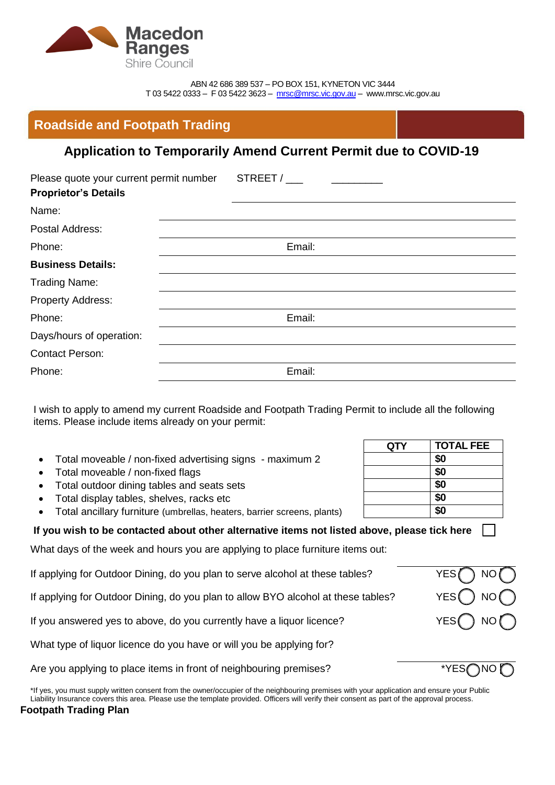

ABN 42 686 389 537 – PO BOX 151, KYNETON VIC 3444 T 03 5422 0333 – F 03 5422 3623 – [mrsc@mrsc.vic.gov.au](mailto:mrsc@mrsc.vic.gov.au) – www.mrsc.vic.gov.au

|  | <b>Roadside and Footpath Trading</b> |
|--|--------------------------------------|
|  |                                      |
|  |                                      |

# **Application to Temporarily Amend Current Permit due to COVID-19**

| Please quote your current permit number<br><b>Proprietor's Details</b> | STREET / |
|------------------------------------------------------------------------|----------|
| Name:                                                                  |          |
| Postal Address:                                                        |          |
| Phone:                                                                 | Email:   |
| <b>Business Details:</b>                                               |          |
| <b>Trading Name:</b>                                                   |          |
| Property Address:                                                      |          |
| Phone:                                                                 | Email:   |
| Days/hours of operation:                                               |          |
| <b>Contact Person:</b>                                                 |          |
| Phone:                                                                 | Email:   |
|                                                                        |          |

I wish to apply to amend my current Roadside and Footpath Trading Permit to include all the following items. Please include items already on your permit:

- Total moveable / non-fixed advertising signs maximum 2 **\$0**
- Total moveable / non-fixed flags **\$0**
- Total outdoor dining tables and seats sets **\$0**
- Total display tables, shelves, racks etc **\$0**
- Total ancillary furniture (umbrellas, heaters, barrier screens, plants) **\$0**

## **If you wish to be contacted about other alternative items not listed above, please tick here**

What days of the week and hours you are applying to place furniture items out:

| If applying for Outdoor Dining, do you plan to serve alcohol at these tables?     | $YES \bigcap NO$           |
|-----------------------------------------------------------------------------------|----------------------------|
| If applying for Outdoor Dining, do you plan to allow BYO alcohol at these tables? | YES $\bigcap$ NO $\bigcap$ |
| If you answered yes to above, do you currently have a liquor licence?             | YES() NO()                 |
| What type of liquor licence do you have or will you be applying for?              |                            |
| Are you applying to place items in front of neighbouring premises?                | * $YES@NO@$                |

\*If yes, you must supply written consent from the owner/occupier of the neighbouring premises with your application and ensure your Public Liability Insurance covers this area. Please use the template provided. Officers will verify their consent as part of the approval process. **Footpath Trading Plan** 

| QTY | <b>TOTAL FEE</b> |
|-----|------------------|
|     | \$0              |
|     | \$0              |
|     | \$0              |
|     | \$0              |
|     | \$0              |